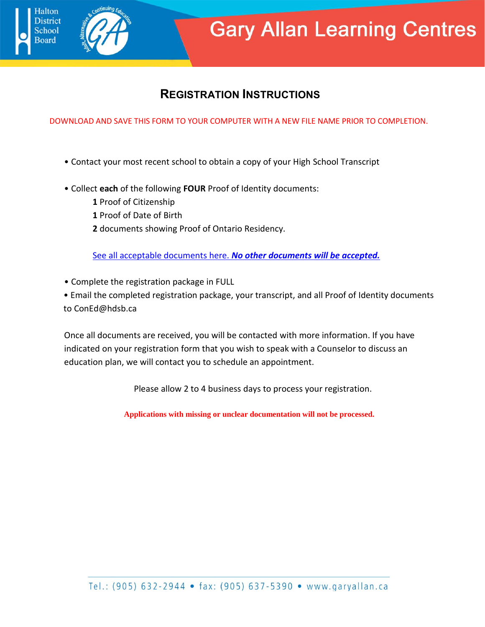## **REGISTRATION INSTRUCTIONS**

**Gary Allan Learning Centres** 

DOWNLOAD AND SAVE THIS FORM TO YOUR COMPUTER WITH A NEW FILE NAME PRIOR TO COMPLETION.

- Contact your most recent school to obtain a copy of your High School Transcript
- Collect **each** of the following **FOUR** Proof of Identity documents:
	- **1** Proof of Citizenship

**Halton** listrict

- **1** Proof of Date of Birth
- **2** documents showing Proof of Ontario Residency.

[See all acceptable documents here.](https://garyallan.ca/wp-content/uploads/2020/06/Proof-of-Residency-Verification.pdf) *No other documents will be accepted.*

• Complete the registration package in FULL

• Email the completed registration package, your transcript, and all Proof of Identity documents to ConEd@hdsb.ca

Once all documents are received, you will be contacted with more information. If you have indicated on your registration form that you wish to speak with a Counselor to discuss an education plan, we will contact you to schedule an appointment.

Please allow 2 to 4 business days to process your registration.

**Applications with missing or unclear documentation will not be processed.**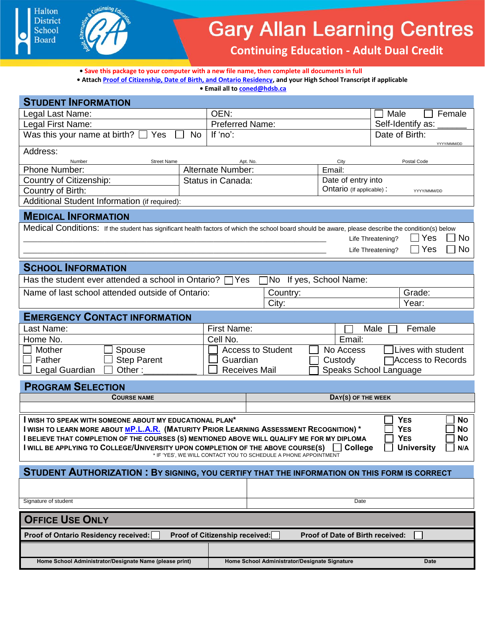



## **Gary Allan Learning Centres**

**Continuing Education - Adult Dual Credit** 

**• Save this package to your computer with a new file name, then complete all documents in full • Attac[h Proof of Citizenship, Date of Birth, and Ontario Residency,](https://garyallan.ca/wp-content/uploads/2020/06/Proof-of-Residency-Verification.pdf) and your High School Transcript if applicable**

**• Email all t[o coned@hdsb.ca](mailto:coned@hdsb.ca)**

| <b>STUDENT INFORMATION</b>                                                                                                                                                                                       |                                                              |                                                                 |                                         |                                       |  |  |  |
|------------------------------------------------------------------------------------------------------------------------------------------------------------------------------------------------------------------|--------------------------------------------------------------|-----------------------------------------------------------------|-----------------------------------------|---------------------------------------|--|--|--|
| Legal Last Name:                                                                                                                                                                                                 | OEN:                                                         |                                                                 | Male<br>Female<br>$\sim 10$             |                                       |  |  |  |
| Legal First Name:                                                                                                                                                                                                | <b>Preferred Name:</b>                                       |                                                                 | Self-Identify as:                       |                                       |  |  |  |
| Was this your name at birth? $\Box$ Yes                                                                                                                                                                          | If 'no':<br><b>No</b>                                        |                                                                 |                                         | Date of Birth:<br>YYYY/MMM/DD         |  |  |  |
| Address:<br><b>Street Name</b><br>Number                                                                                                                                                                         |                                                              | Apt. No.                                                        | City                                    | Postal Code                           |  |  |  |
| Phone Number:                                                                                                                                                                                                    | Alternate Number:                                            |                                                                 | Email:                                  |                                       |  |  |  |
| Country of Citizenship:                                                                                                                                                                                          | Status in Canada:                                            |                                                                 | Date of entry into                      |                                       |  |  |  |
| Country of Birth:                                                                                                                                                                                                |                                                              |                                                                 | Ontario (If applicable):<br>YYYY/MMM/DD |                                       |  |  |  |
| Additional Student Information (if required):                                                                                                                                                                    |                                                              |                                                                 |                                         |                                       |  |  |  |
| <b>MEDICAL INFORMATION</b>                                                                                                                                                                                       |                                                              |                                                                 |                                         |                                       |  |  |  |
| Medical Conditions: If the student has significant health factors of which the school board should be aware, please describe the condition(s) below                                                              |                                                              |                                                                 |                                         |                                       |  |  |  |
|                                                                                                                                                                                                                  |                                                              |                                                                 |                                         | $\Box$ Yes<br>No<br>Life Threatening? |  |  |  |
|                                                                                                                                                                                                                  |                                                              |                                                                 |                                         | $\Box$ Yes<br>No<br>Life Threatening? |  |  |  |
|                                                                                                                                                                                                                  |                                                              |                                                                 |                                         |                                       |  |  |  |
| <b>SCHOOL INFORMATION</b>                                                                                                                                                                                        |                                                              |                                                                 |                                         |                                       |  |  |  |
| Has the student ever attended a school in Ontario? $\Box$ Yes<br>No If yes, School Name:                                                                                                                         |                                                              |                                                                 |                                         |                                       |  |  |  |
| Name of last school attended outside of Ontario:                                                                                                                                                                 |                                                              | Country:                                                        |                                         | Grade:                                |  |  |  |
|                                                                                                                                                                                                                  |                                                              | City:                                                           |                                         | Year:                                 |  |  |  |
| <b>EMERGENCY CONTACT INFORMATION</b>                                                                                                                                                                             |                                                              |                                                                 |                                         |                                       |  |  |  |
| Last Name:                                                                                                                                                                                                       | First Name:                                                  | Female<br>Male                                                  |                                         |                                       |  |  |  |
| Home No.                                                                                                                                                                                                         | Cell No.                                                     |                                                                 | Email:                                  |                                       |  |  |  |
| Lives with student<br>Mother<br><b>Access to Student</b><br>No Access<br>Spouse                                                                                                                                  |                                                              |                                                                 |                                         |                                       |  |  |  |
| <b>Step Parent</b><br>Father                                                                                                                                                                                     |                                                              | Guardian<br>□ Access to Records<br>Custody                      |                                         |                                       |  |  |  |
| Legal Guardian<br>Other:                                                                                                                                                                                         |                                                              | <b>Receives Mail</b>                                            |                                         | Speaks School Language                |  |  |  |
| <b>PROGRAM SELECTION</b>                                                                                                                                                                                         |                                                              |                                                                 |                                         |                                       |  |  |  |
| <b>COURSE NAME</b>                                                                                                                                                                                               | DAY(S) OF THE WEEK                                           |                                                                 |                                         |                                       |  |  |  |
|                                                                                                                                                                                                                  |                                                              |                                                                 |                                         |                                       |  |  |  |
| I WISH TO SPEAK WITH SOMEONE ABOUT MY EDUCATIONAL PLAN*                                                                                                                                                          |                                                              |                                                                 |                                         | <b>YES</b><br><b>No</b>               |  |  |  |
| I WISH TO LEARN MORE ABOUT <u>MP.L.A.R.</u> (MATURITY PRIOR LEARNING ASSESSMENT RECOGNITION) *<br><b>YES</b><br><b>No</b>                                                                                        |                                                              |                                                                 |                                         |                                       |  |  |  |
| <b>I BELIEVE THAT COMPLETION OF THE COURSES (S) MENTIONED ABOVE WILL QUALIFY ME FOR MY DIPLOMA</b><br><b>YES</b><br><b>No</b><br>I WILL BE APPLYING TO COLLEGE/UNIVERSITY UPON COMPLETION OF THE ABOVE COURSE(S) |                                                              |                                                                 |                                         |                                       |  |  |  |
|                                                                                                                                                                                                                  |                                                              | * IF 'YES', WE WILL CONTACT YOU TO SCHEDULE A PHONE APPOINTMENT | College                                 | <b>University</b><br>N/A              |  |  |  |
|                                                                                                                                                                                                                  |                                                              |                                                                 |                                         |                                       |  |  |  |
| <b>STUDENT AUTHORIZATION: BY SIGNING, YOU CERTIFY THAT THE INFORMATION ON THIS FORM IS CORRECT</b>                                                                                                               |                                                              |                                                                 |                                         |                                       |  |  |  |
|                                                                                                                                                                                                                  |                                                              |                                                                 |                                         |                                       |  |  |  |
| Signature of student                                                                                                                                                                                             |                                                              | Date                                                            |                                         |                                       |  |  |  |
| <b>OFFICE USE ONLY</b>                                                                                                                                                                                           |                                                              |                                                                 |                                         |                                       |  |  |  |
| Proof of Citizenship received:<br><b>Proof of Date of Birth received:</b><br>Proof of Ontario Residency received:                                                                                                |                                                              |                                                                 |                                         |                                       |  |  |  |
|                                                                                                                                                                                                                  |                                                              |                                                                 |                                         |                                       |  |  |  |
| Home School Administrator/Designate Name (please print)                                                                                                                                                          | Home School Administrator/Designate Signature<br><b>Date</b> |                                                                 |                                         |                                       |  |  |  |